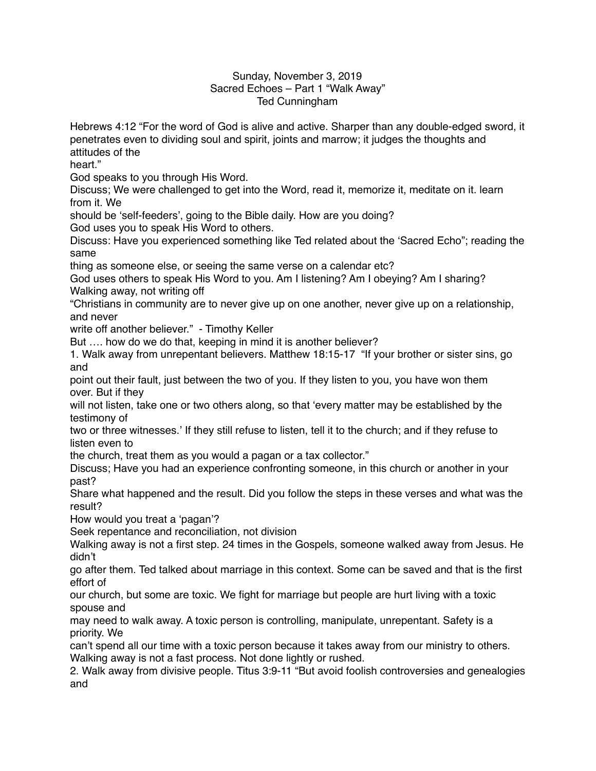## Sunday, November 3, 2019 Sacred Echoes – Part 1 "Walk Away" Ted Cunningham

Hebrews 4:12 "For the word of God is alive and active. Sharper than any double-edged sword, it penetrates even to dividing soul and spirit, joints and marrow; it judges the thoughts and attitudes of the

heart."

God speaks to you through His Word.

Discuss; We were challenged to get into the Word, read it, memorize it, meditate on it. learn from it. We

should be 'self-feeders', going to the Bible daily. How are you doing?

God uses you to speak His Word to others.

Discuss: Have you experienced something like Ted related about the 'Sacred Echo"; reading the same

thing as someone else, or seeing the same verse on a calendar etc?

God uses others to speak His Word to you. Am I listening? Am I obeying? Am I sharing? Walking away, not writing off

"Christians in community are to never give up on one another, never give up on a relationship, and never

write off another believer." - Timothy Keller

But …. how do we do that, keeping in mind it is another believer?

1. Walk away from unrepentant believers. Matthew 18:15-17 "If your brother or sister sins, go and

point out their fault, just between the two of you. If they listen to you, you have won them over. But if they

will not listen, take one or two others along, so that 'every matter may be established by the testimony of

two or three witnesses.' If they still refuse to listen, tell it to the church; and if they refuse to listen even to

the church, treat them as you would a pagan or a tax collector."

Discuss; Have you had an experience confronting someone, in this church or another in your past?

Share what happened and the result. Did you follow the steps in these verses and what was the result?

How would you treat a 'pagan'?

Seek repentance and reconciliation, not division

Walking away is not a first step. 24 times in the Gospels, someone walked away from Jesus. He didn't

go after them. Ted talked about marriage in this context. Some can be saved and that is the first effort of

our church, but some are toxic. We fight for marriage but people are hurt living with a toxic spouse and

may need to walk away. A toxic person is controlling, manipulate, unrepentant. Safety is a priority. We

can't spend all our time with a toxic person because it takes away from our ministry to others. Walking away is not a fast process. Not done lightly or rushed.

2. Walk away from divisive people. Titus 3:9-11 "But avoid foolish controversies and genealogies and